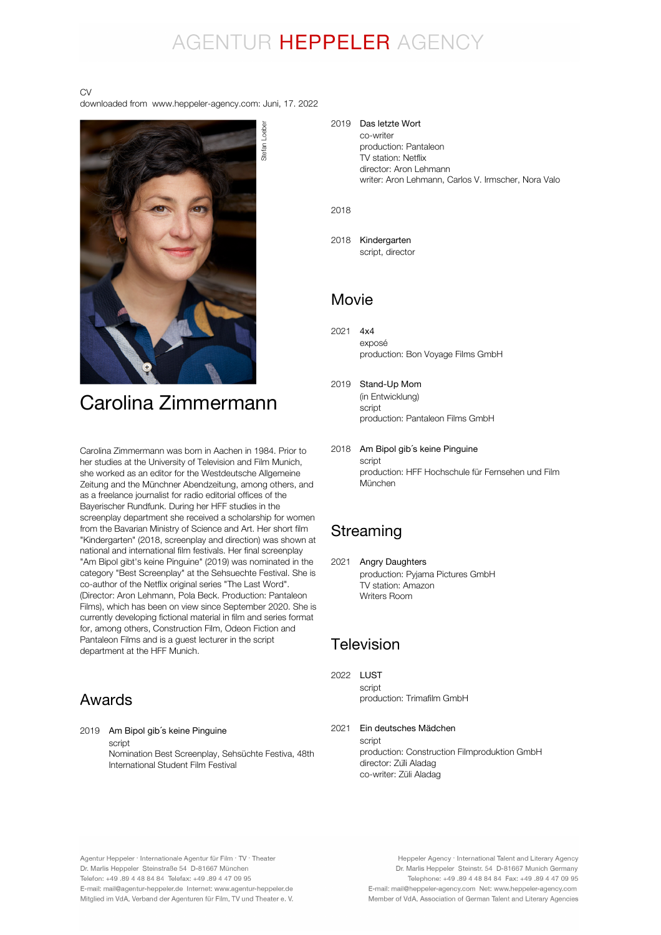# AGENTUR HEPPELER AGENCY

#### CV

downloaded from www.heppeler-agency.com: Juni, 17. 2022



Carolina Zimmermann was born in Aachen in 1984. Prior to her studies at the University of Television and Film Munich, she worked as an editor for the Westdeutsche Allgemeine Zeitung and the Münchner Abendzeitung, among others, and as a freelance journalist for radio editorial offices of the Bayerischer Rundfunk. During her HFF studies in the screenplay department she received a scholarship for women from the Bavarian Ministry of Science and Art. Her short film "Kindergarten" (2018, screenplay and direction) was shown at national and international film festivals. Her final screenplay "Am Bipol gibt's keine Pinguine" (2019) was nominated in the category "Best Screenplay" at the Sehsuechte Festival. She is co-author of the Netflix original series "The Last Word". (Director: Aron Lehmann, Pola Beck. Production: Pantaleon Films), which has been on view since September 2020. She is currently developing fictional material in film and series format for, among others, Construction Film, Odeon Fiction and Pantaleon Films and is a guest lecturer in the script department at the HFF Munich.

### Awards

2019 Am Bipol gib´s keine Pinguine script Nomination Best Screenplay, Sehsüchte Festiva, 48th International Student Film Festival

#### 2019 Das letzte Wort co-writer production: Pantaleon TV station: Netflix director: Aron Lehmann writer: Aron Lehmann, Carlos V. Irmscher, Nora Valo

2018

2018 Kindergarten script, director

### Movie

- 2021 4x4 exposé production: Bon Voyage Films GmbH
- 2019 Stand-Up Mom (in Entwicklung) script production: Pantaleon Films GmbH
- 2018 Am Bipol gib´s keine Pinguine script production: HFF Hochschule für Fernsehen und Film München

### Streaming

2021 Angry Daughters production: Pyjama Pictures GmbH TV station: Amazon Writers Room

### Television

2022 LUST script production: Trimafilm GmbH

2021 script production: Construction Filmproduktion GmbH director: Züli Aladag co-writer: Züli Aladag Ein deutsches Mädchen

Agentur Heppeler · Internationale Agentur für Film · TV · Theater Dr. Marlis Heppeler Steinstraße 54 D-81667 München Telefon: +49.89 4 48 84 84 Telefax: +49.89 4 47 09 95 E-mail: mail@agentur-heppeler.de Internet: www.agentur-heppeler.de Mitglied im VdA, Verband der Agenturen für Film, TV und Theater e. V.

Heppeler Agency · International Talent and Literary Agency Dr. Marlis Heppeler Steinstr. 54 D-81667 Munich Germany Telephone: +49 .89 4 48 84 84 Fax: +49 .89 4 47 09 95 E-mail: mail@heppeler-agency.com Net: www.heppeler-agency.com Member of VdA, Association of German Talent and Literary Agencies